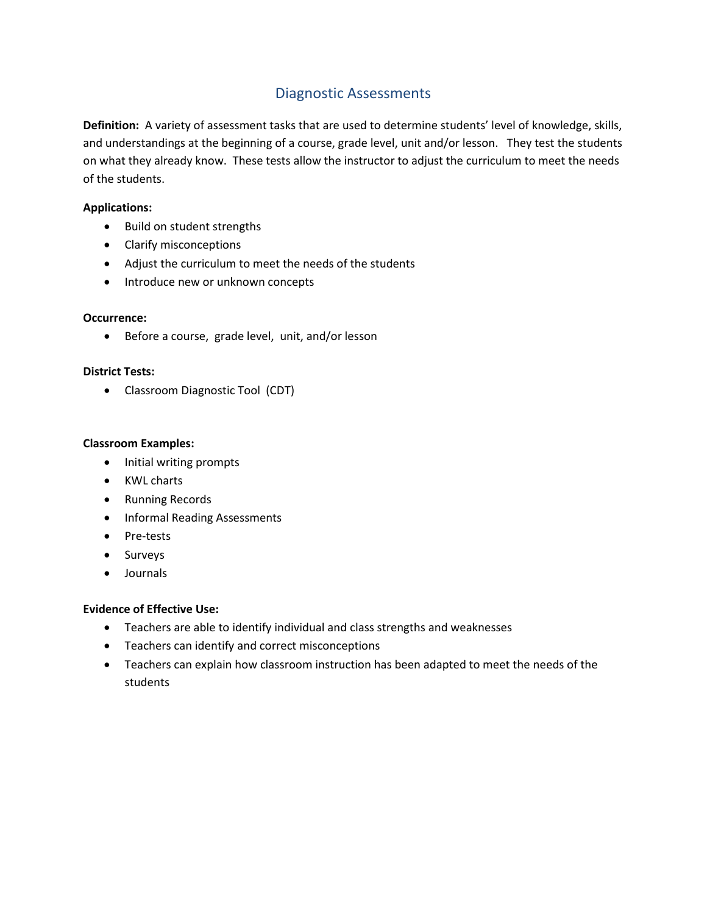# Diagnostic Assessments

**Definition:** A variety of assessment tasks that are used to determine students' level of knowledge, skills, and understandings at the beginning of a course, grade level, unit and/or lesson. They test the students on what they already know. These tests allow the instructor to adjust the curriculum to meet the needs of the students.

# **Applications:**

- Build on student strengths
- Clarify misconceptions
- Adjust the curriculum to meet the needs of the students
- Introduce new or unknown concepts

# **Occurrence:**

Before a course, grade level, unit, and/or lesson

# **District Tests:**

Classroom Diagnostic Tool (CDT)

## **Classroom Examples:**

- Initial writing prompts
- KWL charts
- Running Records
- Informal Reading Assessments
- Pre-tests
- Surveys
- Journals

- Teachers are able to identify individual and class strengths and weaknesses
- Teachers can identify and correct misconceptions
- Teachers can explain how classroom instruction has been adapted to meet the needs of the students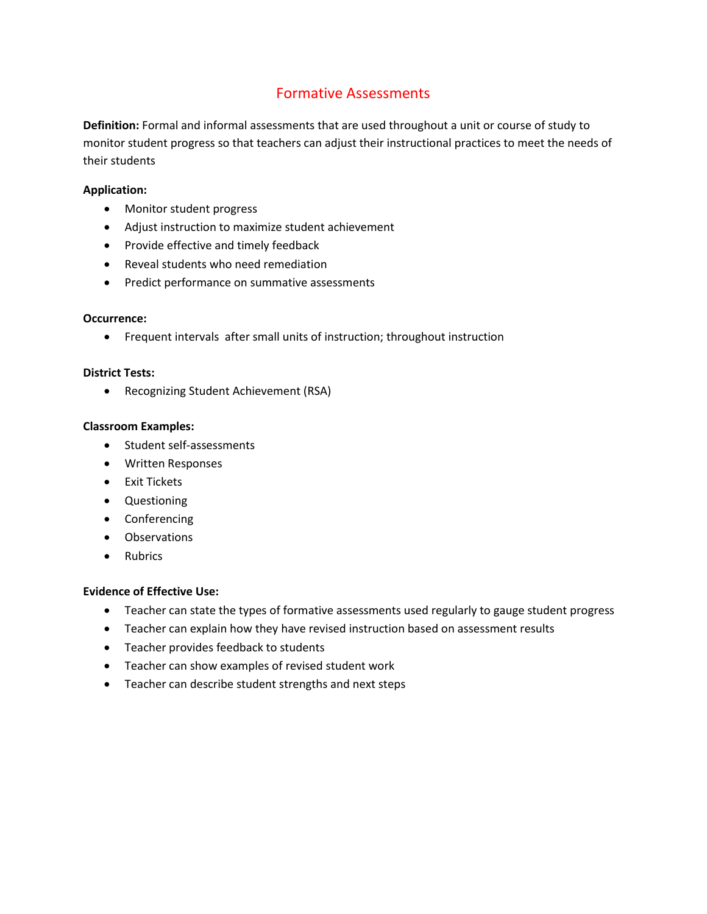# Formative Assessments

**Definition:** Formal and informal assessments that are used throughout a unit or course of study to monitor student progress so that teachers can adjust their instructional practices to meet the needs of their students

# **Application:**

- Monitor student progress
- Adjust instruction to maximize student achievement
- Provide effective and timely feedback
- Reveal students who need remediation
- Predict performance on summative assessments

## **Occurrence:**

Frequent intervals after small units of instruction; throughout instruction

#### **District Tests:**

Recognizing Student Achievement (RSA)

## **Classroom Examples:**

- Student self-assessments
- Written Responses
- Exit Tickets
- Questioning
- Conferencing
- Observations
- Rubrics

- Teacher can state the types of formative assessments used regularly to gauge student progress
- Teacher can explain how they have revised instruction based on assessment results
- Teacher provides feedback to students
- Teacher can show examples of revised student work
- Teacher can describe student strengths and next steps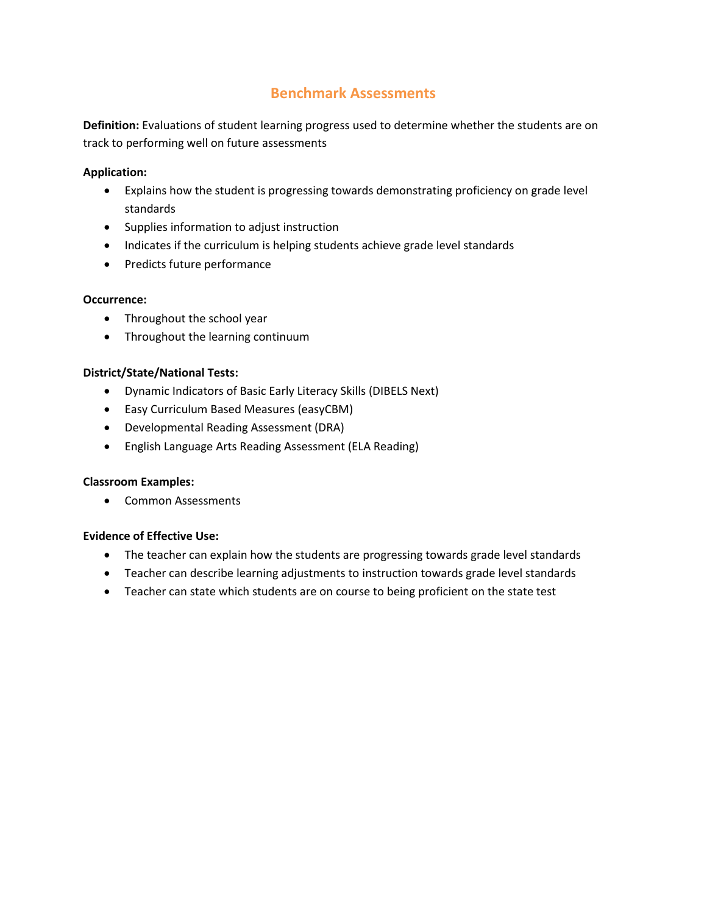# **Benchmark Assessments**

**Definition:** Evaluations of student learning progress used to determine whether the students are on track to performing well on future assessments

## **Application:**

- Explains how the student is progressing towards demonstrating proficiency on grade level standards
- Supplies information to adjust instruction
- Indicates if the curriculum is helping students achieve grade level standards
- Predicts future performance

# **Occurrence:**

- Throughout the school year
- Throughout the learning continuum

# **District/State/National Tests:**

- Dynamic Indicators of Basic Early Literacy Skills (DIBELS Next)
- Easy Curriculum Based Measures (easyCBM)
- Developmental Reading Assessment (DRA)
- English Language Arts Reading Assessment (ELA Reading)

## **Classroom Examples:**

• Common Assessments

- The teacher can explain how the students are progressing towards grade level standards
- Teacher can describe learning adjustments to instruction towards grade level standards
- Teacher can state which students are on course to being proficient on the state test